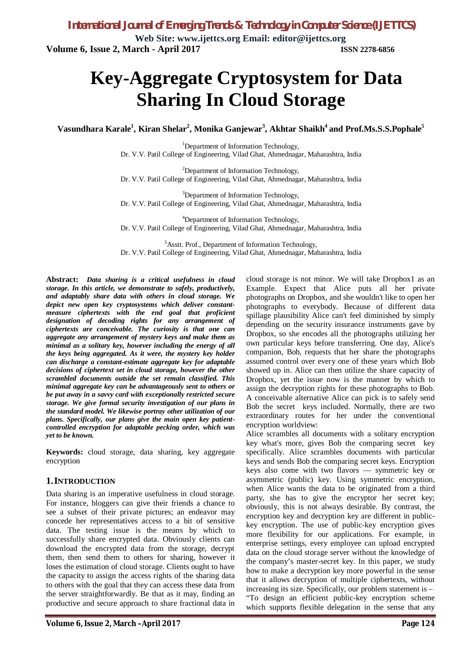*International Journal of Emerging Trends & Technology in Computer Science (IJETTCS)* **Web Site: www.ijettcs.org Email: editor@ijettcs.org Volume 6, Issue 2, March - April 2017 ISSN 2278-6856**

# **Key-Aggregate Cryptosystem for Data Sharing In Cloud Storage**

**Vasundhara Karale<sup>1</sup> , Kiran Shelar<sup>2</sup> , Monika Ganjewar<sup>3</sup> , Akhtar Shaikh<sup>4</sup> and Prof.Ms.S.S.Pophale<sup>5</sup>**

<sup>1</sup>Department of Information Technology, Dr. V.V. Patil College of Engineering, Vilad Ghat, Ahmednagar, Maharashtra, India

<sup>2</sup>Department of Information Technology, Dr. V.V. Patil College of Engineering, Vilad Ghat, Ahmednagar, Maharashtra, India

<sup>3</sup>Department of Information Technology, Dr. V.V. Patil College of Engineering, Vilad Ghat, Ahmednagar, Maharashtra, India

<sup>4</sup>Department of Information Technology, Dr. V.V. Patil College of Engineering, Vilad Ghat, Ahmednagar, Maharashtra, India

<sup>5</sup>Asstt. Prof., Department of Information Technology, Dr. V.V. Patil College of Engineering, Vilad Ghat, Ahmednagar, Maharashtra, India

**Abstract:** *Data sharing is a critical usefulness in cloud storage. In this article, we demonstrate to safely, productively, and adaptably share data with others in cloud storage. We depict new open key cryptosystems which deliver constantmeasure ciphertexts with the end goal that proficient designation of decoding rights for any arrangement of ciphertexts are conceivable. The curiosity is that one can aggregate any arrangement of mystery keys and make them as minimal as a solitary key, however including the energy of all the keys being aggregated. As it were, the mystery key holder can discharge a constant-estimate aggregate key for adaptable decisions of ciphertext set in cloud storage, however the other scrambled documents outside the set remain classified. This minimal aggregate key can be advantageously sent to others or be put away in a savvy card with exceptionally restricted secure storage. We give formal security investigation of our plans in the standard model. We likewise portray other utilization of our plans. Specifically, our plans give the main open key patientcontrolled encryption for adaptable pecking order, which was yet to be known.*

**Keywords:** cloud storage, data sharing, key aggregate encryption

### **1.INTRODUCTION**

Data sharing is an imperative usefulness in cloud storage. For instance, bloggers can give their friends a chance to see a subset of their private pictures; an endeavor may concede her representatives access to a bit of sensitive data. The testing issue is the means by which to successfully share encrypted data. Obviously clients can download the encrypted data from the storage, decrypt them, then send them to others for sharing, however it loses the estimation of cloud storage. Clients ought to have the capacity to assign the access rights of the sharing data to others with the goal that they can access these data from the server straightforwardly. Be that as it may, finding an productive and secure approach to share fractional data in

cloud storage is not minor. We will take Dropbox1 as an Example. Expect that Alice puts all her private photographs on Dropbox, and she wouldn't like to open her photographs to everybody. Because of different data spillage plausibility Alice can't feel diminished by simply depending on the security insurance instruments gave by Dropbox, so she encodes all the photographs utilizing her own particular keys before transferring. One day, Alice's companion, Bob, requests that her share the photographs assumed control over every one of these years which Bob showed up in. Alice can then utilize the share capacity of Dropbox, yet the issue now is the manner by which to assign the decryption rights for these photographs to Bob. A conceivable alternative Alice can pick is to safely send Bob the secret keys included. Normally, there are two extraordinary routes for her under the conventional encryption worldview:

Alice scrambles all documents with a solitary encryption key what's more, gives Bob the comparing secret key specifically. Alice scrambles documents with particular keys and sends Bob the comparing secret keys. Encryption keys also come with two flavors — symmetric key or asymmetric (public) key. Using symmetric encryption, when Alice wants the data to be originated from a third party, she has to give the encryptor her secret key; obviously, this is not always desirable. By contrast, the encryption key and decryption key are different in publickey encryption. The use of public-key encryption gives more flexibility for our applications. For example, in enterprise settings, every employee can upload encrypted data on the cloud storage server without the knowledge of the company's master-secret key. In this paper, we study how to make a decryption key more powerful in the sense that it allows decryption of multiple ciphertexts, without increasing its size. Specifically, our problem statement is – "To design an efficient public-key encryption scheme which supports flexible delegation in the sense that any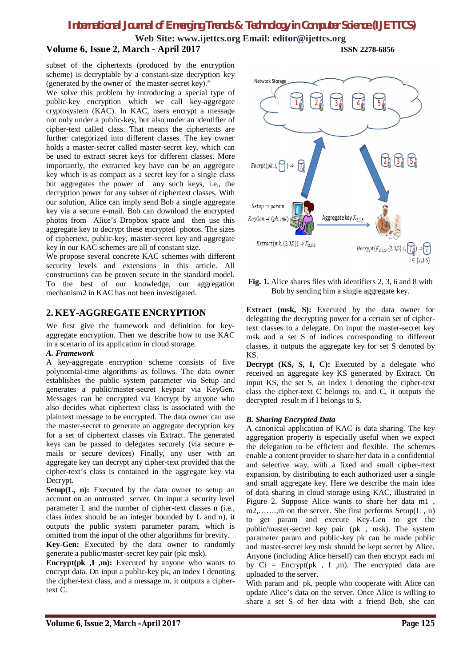**Web Site: www.ijettcs.org Email: editor@ijettcs.org**

# **Volume 6, Issue 2, March - April 2017 ISSN 2278-6856**

subset of the ciphertexts (produced by the encryption scheme) is decryptable by a constant-size decryption key (generated by the owner of the master-secret key)."

We solve this problem by introducing a special type of public-key encryption which we call key-aggregate cryptosystem (KAC). In KAC, users encrypt a message not only under a public-key, but also under an identifier of cipher-text called class. That means the ciphertexts are further categorized into different classes. The key owner holds a master-secret called master-secret key, which can be used to extract secret keys for different classes. More importantly, the extracted key have can be an aggregate key which is as compact as a secret key for a single class but aggregates the power of any such keys, i.e., the decryption power for any subset of ciphertext classes. With our solution, Alice can imply send Bob a single aggregate key via a secure e-mail. Bob can download the encrypted photos from Alice's Dropbox space and then use this aggregate key to decrypt these encrypted photos. The sizes of ciphertext, public-key, master-secret key and aggregate key in our KAC schemes are all of constant size.

We propose several concrete KAC schemes with different security levels and extensions in this article. All constructions can be proven secure in the standard model. To the best of our knowledge, our aggregation mechanism2 in KAC has not been investigated.

# **2. KEY-AGGREGATE ENCRYPTION**

We first give the framework and definition for keyaggregate encryption. Then we describe how to use KAC in a scenario of its application in cloud storage.

### *A. Framework*

A key-aggregate encryption scheme consists of five polynomial-time algorithms as follows. The data owner establishes the public system parameter via Setup and generates a public/master-secret keypair via KeyGen. Messages can be encrypted via Encrypt by anyone who also decides what ciphertext class is associated with the plaintext message to be encrypted. The data owner can use the master-secret to generate an aggregate decryption key for a set of ciphertext classes via Extract. The generated keys can be passed to delegates securely (via secure emails or secure devices) Finally, any user with an aggregate key can decrypt any cipher-text provided that the cipher-text's class is contained in the aggregate key via Decrypt.

**Setup(L, n):** Executed by the data owner to setup an account on an untrusted server. On input a security level parameter L and the number of cipher-text classes n (i.e., class index should be an integer bounded by L and n), it outputs the public system parameter param, which is omitted from the input of the other algorithms for brevity.

**Key-Gen:** Executed by the data owner to randomly generate a public/master-secret key pair (pk; msk).

**Encrypt(pk ,I ,m):** Executed by anyone who wants to encrypt data. On input a public-key pk, an index I denoting the cipher-text class, and a message m, it outputs a ciphertext C.



**Fig. 1.** Alice shares files with identifiers 2, 3, 6 and 8 with Bob by sending him a single aggregate key.

**Extract (msk, S):** Executed by the data owner for delegating the decrypting power for a certain set of ciphertext classes to a delegate. On input the master-secret key msk and a set S of indices corresponding to different classes, it outputs the aggregate key for set S denoted by KS.

**Decrypt (KS, S, I, C):** Executed by a delegate who received an aggregate key KS generated by Extract. On input KS, the set S, an index i denoting the cipher-text class the cipher-text C belongs to, and C, it outputs the decrypted result m if I belongs to S.

### *B. Sharing Encrypted Data*

A canonical application of KAC is data sharing. The key aggregation property is especially useful when we expect the delegation to be efficient and flexible. The schemes enable a content provider to share her data in a confidential and selective way, with a fixed and small cipher-rtext expansion, by distributing to each authorized user a single and small aggregate key. Here we describe the main idea of data sharing in cloud storage using KAC, illustrated in Figure 2. Suppose Alice wants to share her data m1 , m2,…….,m on the server. She first performs Setup(L , n) to get param and execute Key-Gen to get the public/master-secret key pair (pk , msk). The system parameter param and public-key pk can be made public and master-secret key msk should be kept secret by Alice. Anyone (including Alice herself) can then encrypt each mi by  $Ci = \text{Encrypt}(pk, I, m)$ . The encrypted data are uploaded to the server.

With param and pk, people who cooperate with Alice can update Alice's data on the server. Once Alice is willing to share a set S of her data with a friend Bob, she can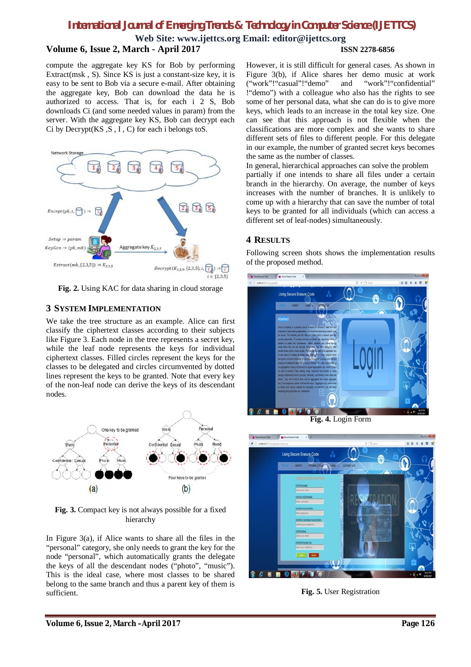**Web Site: www.ijettcs.org Email: editor@ijettcs.org Volume 6, Issue 2, March - April 2017 ISSN 2278-6856**

compute the aggregate key KS for Bob by performing Extract(msk , S). Since KS is just a constant-size key, it is easy to be sent to Bob via a secure e-mail. After obtaining the aggregate key, Bob can download the data he is authorized to access. That is, for each i 2 S, Bob downloads Ci (and some needed values in param) from the server. With the aggregate key KS, Bob can decrypt each Ci by Decrypt $(KS, S, I, C)$  for each i belongs to  $S$ .



**Fig. 2.** Using KAC for data sharing in cloud storage

# **3 SYSTEM IMPLEMENTATION**

We take the tree structure as an example. Alice can first classify the ciphertext classes according to their subjects like Figure 3. Each node in the tree represents a secret key, while the leaf node represents the keys for individual ciphertext classes. Filled circles represent the keys for the classes to be delegated and circles circumvented by dotted lines represent the keys to be granted. Note that every key of the non-leaf node can derive the keys of its descendant nodes.



**Fig. 3.** Compact key is not always possible for a fixed hierarchy

In Figure  $3(a)$ , if Alice wants to share all the files in the "personal" category, she only needs to grant the key for the node "personal", which automatically grants the delegate the keys of all the descendant nodes ("photo", "music"). This is the ideal case, where most classes to be shared belong to the same branch and thus a parent key of them is sufficient.

However, it is still difficult for general cases. As shown in Figure 3(b), if Alice shares her demo music at work ("work"!"casual"!"demo" and "work"!"confidential" !"demo") with a colleague who also has the rights to see some of her personal data, what she can do is to give more keys, which leads to an increase in the total key size. One can see that this approach is not flexible when the classifications are more complex and she wants to share different sets of files to different people. For this delegate in our example, the number of granted secret keys becomes the same as the number of classes.

In general, hierarchical approaches can solve the problem partially if one intends to share all files under a certain branch in the hierarchy. On average, the number of keys increases with the number of branches. It is unlikely to come up with a hierarchy that can save the number of total keys to be granted for all individuals (which can access a different set of leaf-nodes) simultaneously.

# **4 RESULTS**

Following screen shots shows the implementation results of the proposed method.



**Fig. 4.** Login Form



**Fig. 5.** User Registration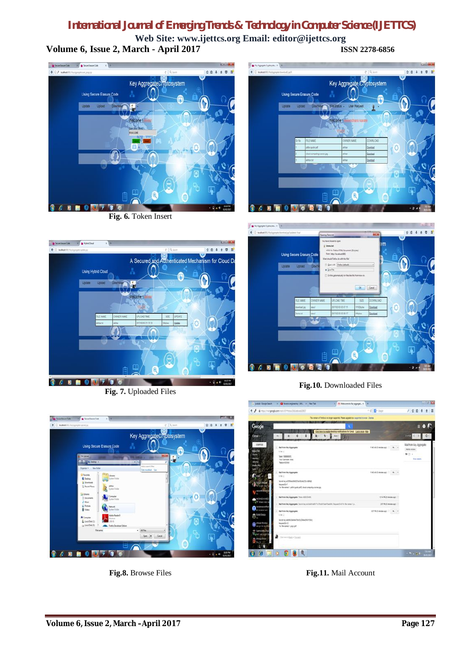**Web Site: www.ijettcs.org Email: editor@ijettcs.org Volume 6, Issue 2, March - April 2017 ISSN 2278-6856**





**Fig. 7.** Uploaded Files





**Fig.10.** Downloaded Files



**Fig.8.** Browse Files



**Fig.11.** Mail Account